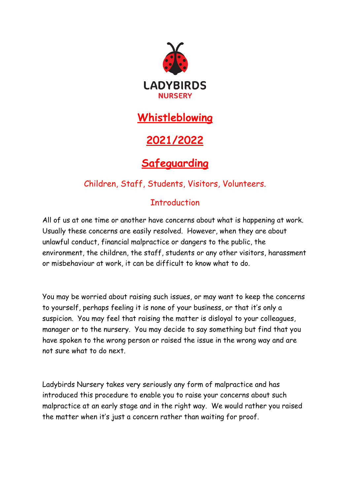

# **Whistleblowing**

# **2021/2022**

# **Safeguarding**

## Children, Staff, Students, Visitors, Volunteers.

## **Introduction**

All of us at one time or another have concerns about what is happening at work. Usually these concerns are easily resolved. However, when they are about unlawful conduct, financial malpractice or dangers to the public, the environment, the children, the staff, students or any other visitors, harassment or misbehaviour at work, it can be difficult to know what to do.

You may be worried about raising such issues, or may want to keep the concerns to yourself, perhaps feeling it is none of your business, or that it's only a suspicion. You may feel that raising the matter is disloyal to your colleagues, manager or to the nursery. You may decide to say something but find that you have spoken to the wrong person or raised the issue in the wrong way and are not sure what to do next.

Ladybirds Nursery takes very seriously any form of malpractice and has introduced this procedure to enable you to raise your concerns about such malpractice at an early stage and in the right way. We would rather you raised the matter when it's just a concern rather than waiting for proof.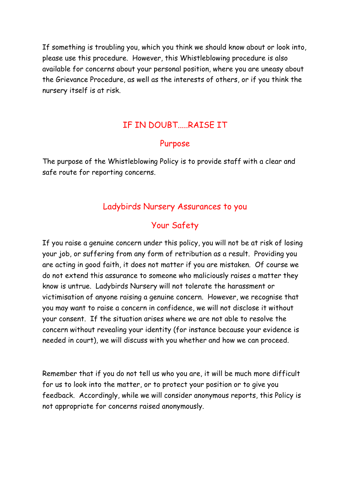If something is troubling you, which you think we should know about or look into, please use this procedure. However, this Whistleblowing procedure is also available for concerns about your personal position, where you are uneasy about the Grievance Procedure, as well as the interests of others, or if you think the nursery itself is at risk.

#### IF IN DOUBT.....RAISE IT

#### Purpose

The purpose of the Whistleblowing Policy is to provide staff with a clear and safe route for reporting concerns.

#### Ladybirds Nursery Assurances to you

#### Your Safety

If you raise a genuine concern under this policy, you will not be at risk of losing your job, or suffering from any form of retribution as a result. Providing you are acting in good faith, it does not matter if you are mistaken. Of course we do not extend this assurance to someone who maliciously raises a matter they know is untrue. Ladybirds Nursery will not tolerate the harassment or victimisation of anyone raising a genuine concern. However, we recognise that you may want to raise a concern in confidence, we will not disclose it without your consent. If the situation arises where we are not able to resolve the concern without revealing your identity (for instance because your evidence is needed in court), we will discuss with you whether and how we can proceed.

Remember that if you do not tell us who you are, it will be much more difficult for us to look into the matter, or to protect your position or to give you feedback. Accordingly, while we will consider anonymous reports, this Policy is not appropriate for concerns raised anonymously.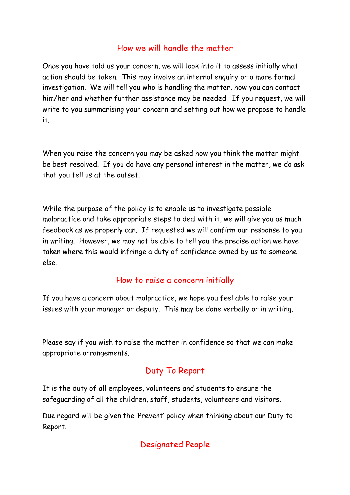### How we will handle the matter

Once you have told us your concern, we will look into it to assess initially what action should be taken. This may involve an internal enquiry or a more formal investigation. We will tell you who is handling the matter, how you can contact him/her and whether further assistance may be needed. If you request, we will write to you summarising your concern and setting out how we propose to handle it.

When you raise the concern you may be asked how you think the matter might be best resolved. If you do have any personal interest in the matter, we do ask that you tell us at the outset.

While the purpose of the policy is to enable us to investigate possible malpractice and take appropriate steps to deal with it, we will give you as much feedback as we properly can. If requested we will confirm our response to you in writing. However, we may not be able to tell you the precise action we have taken where this would infringe a duty of confidence owned by us to someone else.

### How to raise a concern initially

If you have a concern about malpractice, we hope you feel able to raise your issues with your manager or deputy. This may be done verbally or in writing.

Please say if you wish to raise the matter in confidence so that we can make appropriate arrangements.

### Duty To Report

It is the duty of all employees, volunteers and students to ensure the safeguarding of all the children, staff, students, volunteers and visitors.

Due regard will be given the 'Prevent' policy when thinking about our Duty to Report.

### Designated People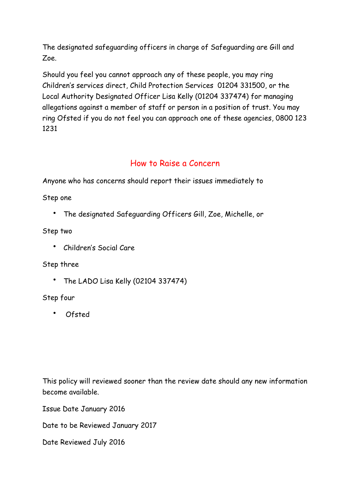The designated safeguarding officers in charge of Safeguarding are Gill and Zoe.

Should you feel you cannot approach any of these people, you may ring Children's services direct, Child Protection Services 01204 331500, or the Local Authority Designated Officer Lisa Kelly (01204 337474) for managing allegations against a member of staff or person in a position of trust. You may ring Ofsted if you do not feel you can approach one of these agencies, 0800 123 1231

### How to Raise a Concern

Anyone who has concerns should report their issues immediately to

Step one

• The designated Safeguarding Officers Gill, Zoe, Michelle, or

Step two

• Children's Social Care

#### Step three

• The LADO Lisa Kelly (02104 337474)

#### Step four

• Ofsted

This policy will reviewed sooner than the review date should any new information become available.

Issue Date January 2016

Date to be Reviewed January 2017

Date Reviewed July 2016